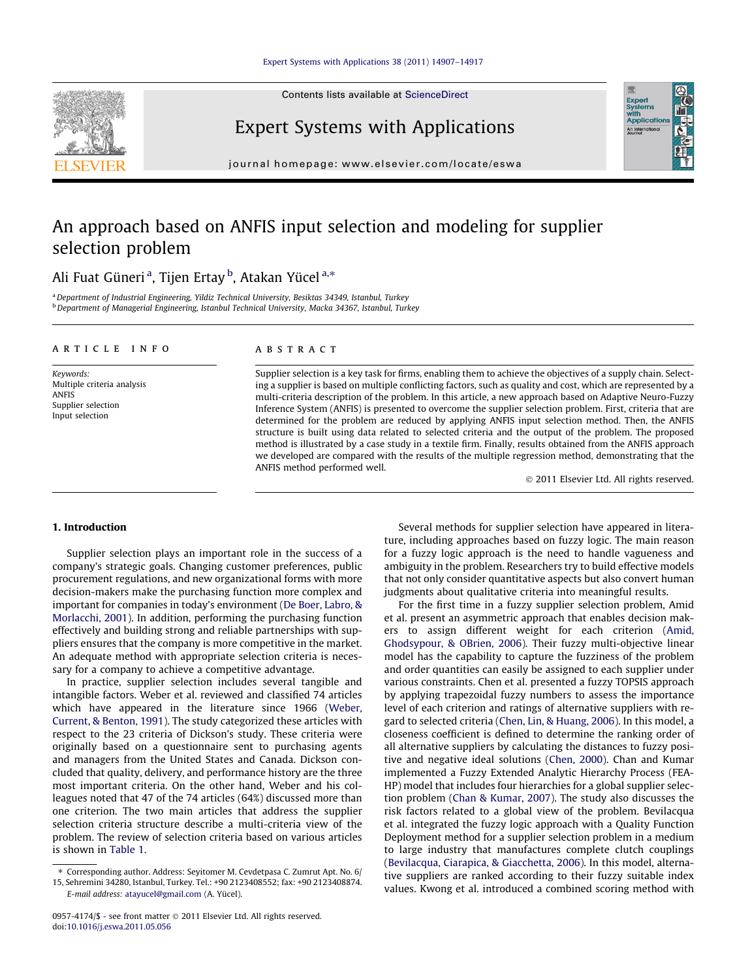Contents lists available at [ScienceDirect](http://www.sciencedirect.com/science/journal/09574174)



### Expert Systems with Applications

journal homepage: [www.elsevier.com/locate/eswa](http://www.elsevier.com/locate/eswa)

## An approach based on ANFIS input selection and modeling for supplier selection problem

Ali Fuat Güneri <sup>a</sup>, Tijen Ertay <sup>b</sup>, Atakan Yücel <sup>a,</sup>\*

a Department of Industrial Engineering, Yildiz Technical University, Besiktas 34349, Istanbul, Turkey <sup>b</sup> Department of Managerial Engineering, Istanbul Technical University, Macka 34367, Istanbul, Turkey

#### article info

Keywords: Multiple criteria analysis ANFIS Supplier selection Input selection

#### ABSTRACT

Supplier selection is a key task for firms, enabling them to achieve the objectives of a supply chain. Selecting a supplier is based on multiple conflicting factors, such as quality and cost, which are represented by a multi-criteria description of the problem. In this article, a new approach based on Adaptive Neuro-Fuzzy Inference System (ANFIS) is presented to overcome the supplier selection problem. First, criteria that are determined for the problem are reduced by applying ANFIS input selection method. Then, the ANFIS structure is built using data related to selected criteria and the output of the problem. The proposed method is illustrated by a case study in a textile firm. Finally, results obtained from the ANFIS approach we developed are compared with the results of the multiple regression method, demonstrating that the ANFIS method performed well.

- 2011 Elsevier Ltd. All rights reserved.

Expert<br>Systems<br>with<br>Applical

### 1. Introduction

Supplier selection plays an important role in the success of a company's strategic goals. Changing customer preferences, public procurement regulations, and new organizational forms with more decision-makers make the purchasing function more complex and important for companies in today's environment ([De Boer, Labro, &](#page--1-0) [Morlacchi, 2001\)](#page--1-0). In addition, performing the purchasing function effectively and building strong and reliable partnerships with suppliers ensures that the company is more competitive in the market. An adequate method with appropriate selection criteria is necessary for a company to achieve a competitive advantage.

In practice, supplier selection includes several tangible and intangible factors. Weber et al. reviewed and classified 74 articles which have appeared in the literature since 1966 ([Weber,](#page--1-0) [Current, & Benton, 1991\)](#page--1-0). The study categorized these articles with respect to the 23 criteria of Dickson's study. These criteria were originally based on a questionnaire sent to purchasing agents and managers from the United States and Canada. Dickson concluded that quality, delivery, and performance history are the three most important criteria. On the other hand, Weber and his colleagues noted that 47 of the 74 articles (64%) discussed more than one criterion. The two main articles that address the supplier selection criteria structure describe a multi-criteria view of the problem. The review of selection criteria based on various articles is shown in [Table 1.](#page-1-0)

0957-4174/\$ - see front matter © 2011 Elsevier Ltd. All rights reserved. doi[:10.1016/j.eswa.2011.05.056](http://dx.doi.org/10.1016/j.eswa.2011.05.056)

Several methods for supplier selection have appeared in literature, including approaches based on fuzzy logic. The main reason for a fuzzy logic approach is the need to handle vagueness and ambiguity in the problem. Researchers try to build effective models that not only consider quantitative aspects but also convert human judgments about qualitative criteria into meaningful results.

For the first time in a fuzzy supplier selection problem, Amid et al. present an asymmetric approach that enables decision makers to assign different weight for each criterion [\(Amid,](#page--1-0) [Ghodsypour, & OBrien, 2006\)](#page--1-0). Their fuzzy multi-objective linear model has the capability to capture the fuzziness of the problem and order quantities can easily be assigned to each supplier under various constraints. Chen et al. presented a fuzzy TOPSIS approach by applying trapezoidal fuzzy numbers to assess the importance level of each criterion and ratings of alternative suppliers with regard to selected criteria ([Chen, Lin, & Huang, 2006](#page--1-0)). In this model, a closeness coefficient is defined to determine the ranking order of all alternative suppliers by calculating the distances to fuzzy positive and negative ideal solutions [\(Chen, 2000\)](#page--1-0). Chan and Kumar implemented a Fuzzy Extended Analytic Hierarchy Process (FEA-HP) model that includes four hierarchies for a global supplier selection problem [\(Chan & Kumar, 2007](#page--1-0)). The study also discusses the risk factors related to a global view of the problem. Bevilacqua et al. integrated the fuzzy logic approach with a Quality Function Deployment method for a supplier selection problem in a medium to large industry that manufactures complete clutch couplings ([Bevilacqua, Ciarapica, & Giacchetta, 2006](#page--1-0)). In this model, alternative suppliers are ranked according to their fuzzy suitable index values. Kwong et al. introduced a combined scoring method with

<sup>⇑</sup> Corresponding author. Address: Seyitomer M. Cevdetpasa C. Zumrut Apt. No. 6/ 15, Sehremini 34280, Istanbul, Turkey. Tel.: +90 2123408552; fax: +90 2123408874.

E-mail address: [atayucel@gmail.com](mailto:atayucel@gmail.com) (A. Yücel).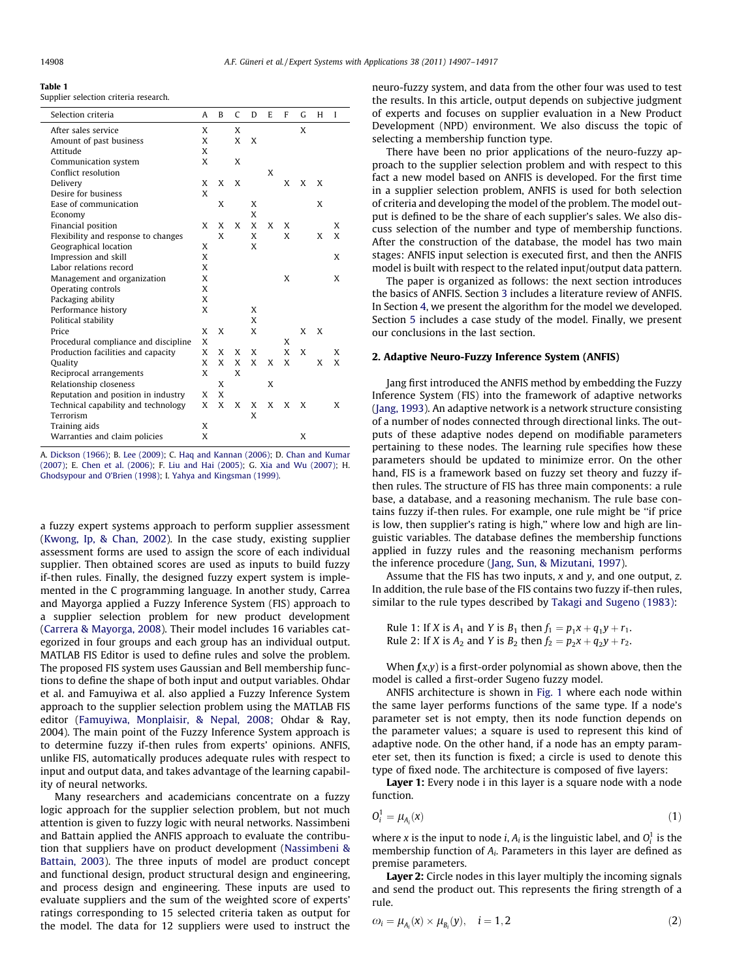<span id="page-1-0"></span>

| iank |  |
|------|--|
|------|--|

Supplier selection criteria research.

| Selection criteria                   | A | B | C | D | E | F | G | H | I |  |
|--------------------------------------|---|---|---|---|---|---|---|---|---|--|
| After sales service                  | X |   | X |   |   |   | X |   |   |  |
| Amount of past business              | X |   | X | X |   |   |   |   |   |  |
| Attitude                             | X |   |   |   |   |   |   |   |   |  |
| Communication system                 | X |   | X |   |   |   |   |   |   |  |
| Conflict resolution                  |   |   |   |   | X |   |   |   |   |  |
| Delivery                             | X | X | X |   |   | X | X | X |   |  |
| Desire for business                  | X |   |   |   |   |   |   |   |   |  |
| Ease of communication                |   | X |   | X |   |   |   | X |   |  |
| Economy                              |   |   |   | X |   |   |   |   |   |  |
| Financial position                   | X | X | X | X | X | X |   |   | X |  |
| Flexibility and response to changes  |   | X |   | X |   | X |   | X | X |  |
| Geographical location                | X |   |   | X |   |   |   |   |   |  |
| Impression and skill                 | X |   |   |   |   |   |   |   | X |  |
| Labor relations record               | X |   |   |   |   |   |   |   |   |  |
| Management and organization          | X |   |   |   |   | X |   |   | X |  |
| Operating controls                   | X |   |   |   |   |   |   |   |   |  |
| Packaging ability                    | X |   |   |   |   |   |   |   |   |  |
| Performance history                  | X |   |   | X |   |   |   |   |   |  |
| Political stability                  |   |   |   | X |   |   |   |   |   |  |
| Price                                | X | X |   | X |   |   | X | X |   |  |
| Procedural compliance and discipline | X |   |   |   |   | X |   |   |   |  |
| Production facilities and capacity   | X | X | X | X |   | X | X |   | X |  |
| Quality                              | X | X | X | X | X | X |   | X | X |  |
| Reciprocal arrangements              | X |   | X |   |   |   |   |   |   |  |
| Relationship closeness               |   | X |   |   | X |   |   |   |   |  |
| Reputation and position in industry  | X | X |   |   |   |   |   |   |   |  |
| Technical capability and technology  | X | X | X | X | X | X | X |   | X |  |
| Terrorism                            |   |   |   | X |   |   |   |   |   |  |
| Training aids                        | X |   |   |   |   |   |   |   |   |  |
| Warranties and claim policies        | X |   |   |   |   |   | X |   |   |  |

A. [Dickson \(1966\)](#page--1-0); B. [Lee \(2009\);](#page--1-0) C. [Haq and Kannan \(2006\);](#page--1-0) D. [Chan and Kumar](#page--1-0) [\(2007\);](#page--1-0) E. [Chen et al. \(2006\)](#page--1-0); F. [Liu and Hai \(2005\);](#page--1-0) G. [Xia and Wu \(2007\);](#page--1-0) H. [Ghodsypour and O'Brien \(1998\)](#page--1-0); I. [Yahya and Kingsman \(1999\).](#page--1-0)

a fuzzy expert systems approach to perform supplier assessment ([Kwong, Ip, & Chan, 2002\)](#page--1-0). In the case study, existing supplier assessment forms are used to assign the score of each individual supplier. Then obtained scores are used as inputs to build fuzzy if-then rules. Finally, the designed fuzzy expert system is implemented in the C programming language. In another study, Carrea and Mayorga applied a Fuzzy Inference System (FIS) approach to a supplier selection problem for new product development ([Carrera & Mayorga, 2008\)](#page--1-0). Their model includes 16 variables categorized in four groups and each group has an individual output. MATLAB FIS Editor is used to define rules and solve the problem. The proposed FIS system uses Gaussian and Bell membership functions to define the shape of both input and output variables. Ohdar et al. and Famuyiwa et al. also applied a Fuzzy Inference System approach to the supplier selection problem using the MATLAB FIS editor [\(Famuyiwa, Monplaisir, & Nepal, 2008;](#page--1-0) Ohdar & Ray, 2004). The main point of the Fuzzy Inference System approach is to determine fuzzy if-then rules from experts' opinions. ANFIS, unlike FIS, automatically produces adequate rules with respect to input and output data, and takes advantage of the learning capability of neural networks.

Many researchers and academicians concentrate on a fuzzy logic approach for the supplier selection problem, but not much attention is given to fuzzy logic with neural networks. Nassimbeni and Battain applied the ANFIS approach to evaluate the contribution that suppliers have on product development ([Nassimbeni &](#page--1-0) [Battain, 2003\)](#page--1-0). The three inputs of model are product concept and functional design, product structural design and engineering, and process design and engineering. These inputs are used to evaluate suppliers and the sum of the weighted score of experts' ratings corresponding to 15 selected criteria taken as output for the model. The data for 12 suppliers were used to instruct the

neuro-fuzzy system, and data from the other four was used to test the results. In this article, output depends on subjective judgment of experts and focuses on supplier evaluation in a New Product Development (NPD) environment. We also discuss the topic of selecting a membership function type.

There have been no prior applications of the neuro-fuzzy approach to the supplier selection problem and with respect to this fact a new model based on ANFIS is developed. For the first time in a supplier selection problem, ANFIS is used for both selection of criteria and developing the model of the problem. The model output is defined to be the share of each supplier's sales. We also discuss selection of the number and type of membership functions. After the construction of the database, the model has two main stages: ANFIS input selection is executed first, and then the ANFIS model is built with respect to the related input/output data pattern.

The paper is organized as follows: the next section introduces the basics of ANFIS. Section [3](#page--1-0) includes a literature review of ANFIS. In Section [4](#page--1-0), we present the algorithm for the model we developed. Section [5](#page--1-0) includes a case study of the model. Finally, we present our conclusions in the last section.

### 2. Adaptive Neuro-Fuzzy Inference System (ANFIS)

Jang first introduced the ANFIS method by embedding the Fuzzy Inference System (FIS) into the framework of adaptive networks ([Jang, 1993\)](#page--1-0). An adaptive network is a network structure consisting of a number of nodes connected through directional links. The outputs of these adaptive nodes depend on modifiable parameters pertaining to these nodes. The learning rule specifies how these parameters should be updated to minimize error. On the other hand, FIS is a framework based on fuzzy set theory and fuzzy ifthen rules. The structure of FIS has three main components: a rule base, a database, and a reasoning mechanism. The rule base contains fuzzy if-then rules. For example, one rule might be ''if price is low, then supplier's rating is high,'' where low and high are linguistic variables. The database defines the membership functions applied in fuzzy rules and the reasoning mechanism performs the inference procedure [\(Jang, Sun, & Mizutani, 1997](#page--1-0)).

Assume that the FIS has two inputs,  $x$  and  $y$ , and one output,  $z$ . In addition, the rule base of the FIS contains two fuzzy if-then rules, similar to the rule types described by [Takagi and Sugeno \(1983\)](#page--1-0):

Rule 1: If X is  $A_1$  and Y is  $B_1$  then  $f_1 = p_1x + q_1y + r_1$ . Rule 2: If X is  $A_2$  and Y is  $B_2$  then  $f_2 = p_2x + q_2y + r_2$ .

When  $f(x,y)$  is a first-order polynomial as shown above, then the model is called a first-order Sugeno fuzzy model.

ANFIS architecture is shown in [Fig. 1](#page--1-0) where each node within the same layer performs functions of the same type. If a node's parameter set is not empty, then its node function depends on the parameter values; a square is used to represent this kind of adaptive node. On the other hand, if a node has an empty parameter set, then its function is fixed; a circle is used to denote this type of fixed node. The architecture is composed of five layers:

Layer 1: Every node i in this layer is a square node with a node function.

$$
O_i^1 = \mu_{A_i}(x) \tag{1}
$$

where x is the input to node *i*,  $A_i$  is the linguistic label, and  $O_i^1$  is the membership function of  $A_i$ . Parameters in this layer are defined as premise parameters.

Layer 2: Circle nodes in this layer multiply the incoming signals and send the product out. This represents the firing strength of a rule.

$$
\omega_i = \mu_{A_i}(x) \times \mu_{B_i}(y), \quad i = 1, 2 \tag{2}
$$